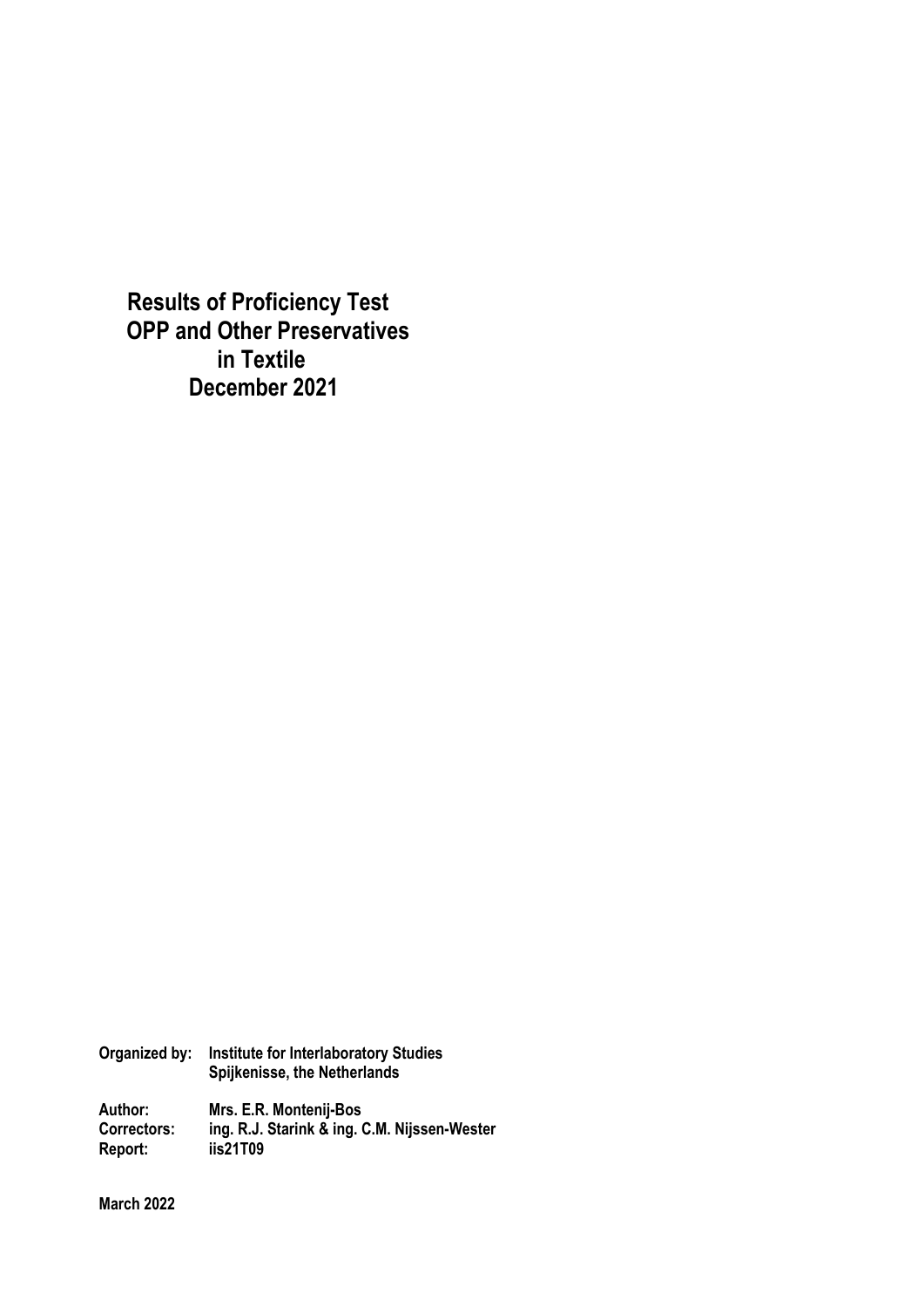**Results of Proficiency Test OPP and Other Preservatives in Textile December 2021**

**Organized by: Institute for Interlaboratory Studies Spijkenisse, the Netherlands** 

**Author: Mrs. E.R. Montenij-Bos Correctors: ing. R.J. Starink & ing. C.M. Nijssen-Wester Report: iis21T09** 

**March 2022**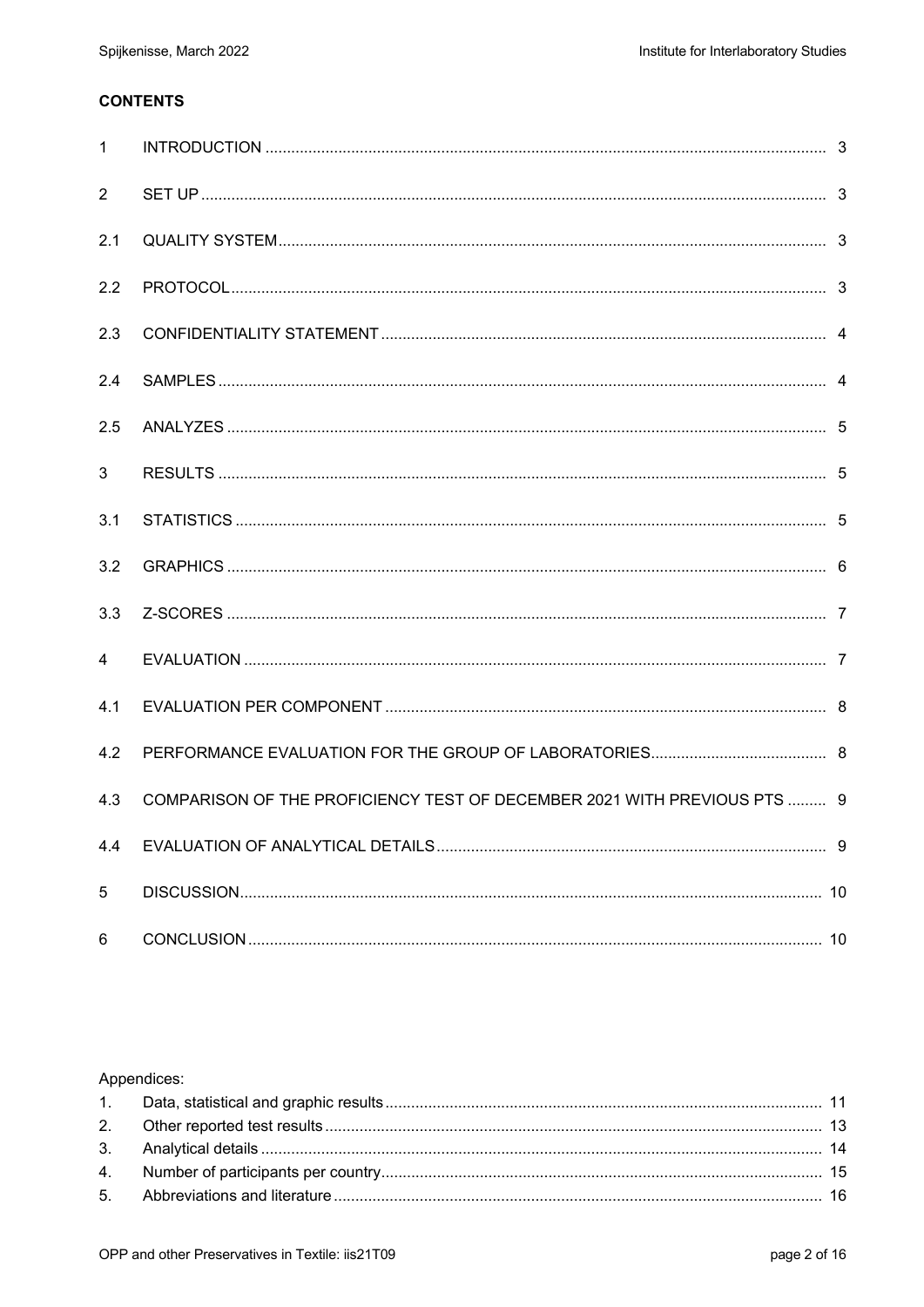# **CONTENTS**

| $\mathbf{1}$   |                                                                          |  |
|----------------|--------------------------------------------------------------------------|--|
| $\overline{2}$ |                                                                          |  |
| 2.1            |                                                                          |  |
| 2.2            |                                                                          |  |
| 2.3            |                                                                          |  |
| 2.4            |                                                                          |  |
| 2.5            |                                                                          |  |
| 3              |                                                                          |  |
| 3.1            |                                                                          |  |
| 3.2            |                                                                          |  |
| 3.3            |                                                                          |  |
| 4              |                                                                          |  |
| 4.1            |                                                                          |  |
| 4.2            |                                                                          |  |
| 4.3            | COMPARISON OF THE PROFICIENCY TEST OF DECEMBER 2021 WITH PREVIOUS PTS  9 |  |
| 4.4            |                                                                          |  |
| 5              |                                                                          |  |
| 6              |                                                                          |  |

## Appendices: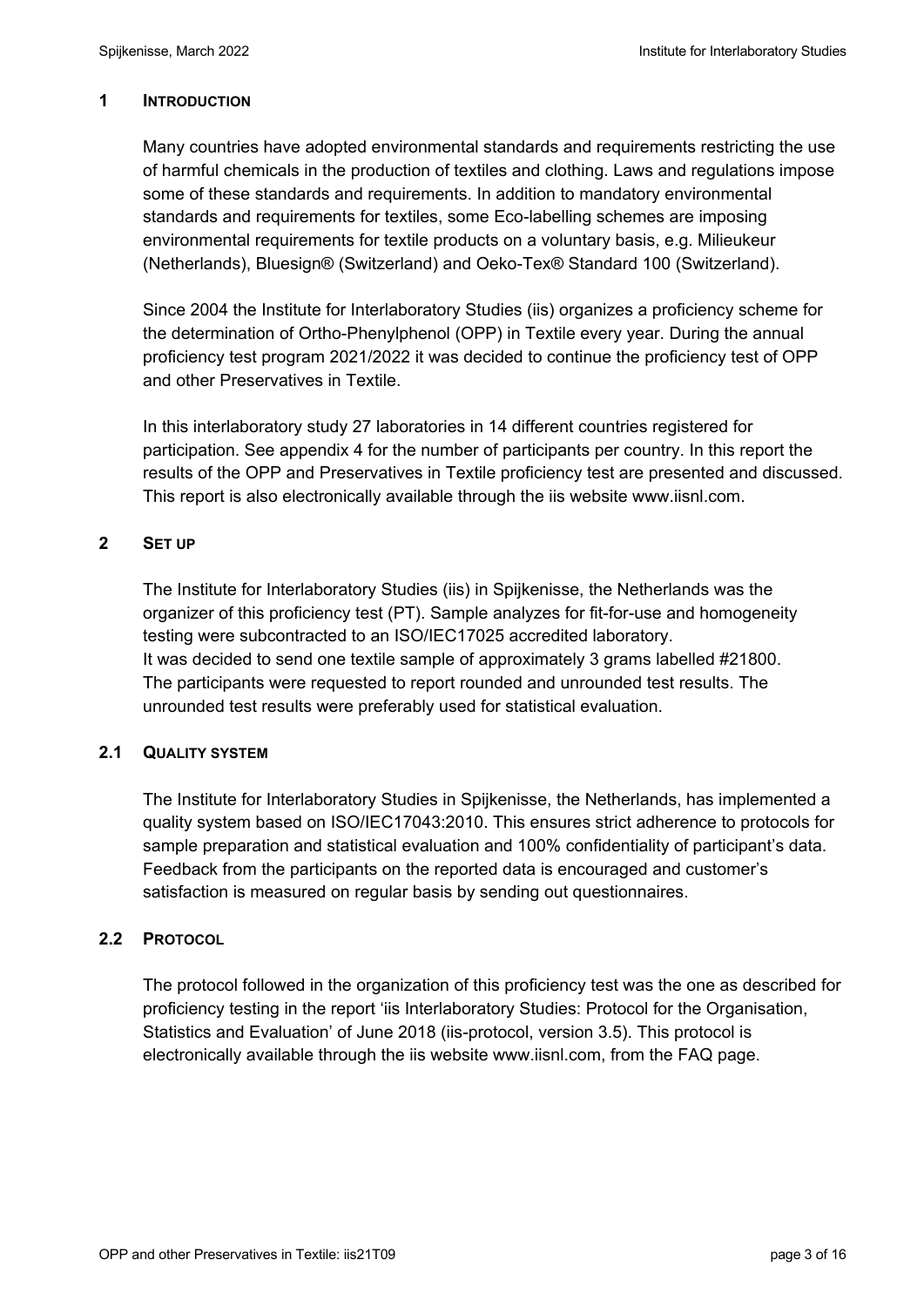### **1 INTRODUCTION**

Many countries have adopted environmental standards and requirements restricting the use of harmful chemicals in the production of textiles and clothing. Laws and regulations impose some of these standards and requirements. In addition to mandatory environmental standards and requirements for textiles, some Eco-labelling schemes are imposing environmental requirements for textile products on a voluntary basis, e.g. Milieukeur (Netherlands), Bluesign® (Switzerland) and Oeko-Tex® Standard 100 (Switzerland).

Since 2004 the Institute for Interlaboratory Studies (iis) organizes a proficiency scheme for the determination of Ortho-Phenylphenol (OPP) in Textile every year. During the annual proficiency test program 2021/2022 it was decided to continue the proficiency test of OPP and other Preservatives in Textile.

In this interlaboratory study 27 laboratories in 14 different countries registered for participation. See appendix 4 for the number of participants per country. In this report the results of the OPP and Preservatives in Textile proficiency test are presented and discussed. This report is also electronically available through the iis website www.iisnl.com.

# **2 SET UP**

The Institute for Interlaboratory Studies (iis) in Spijkenisse, the Netherlands was the organizer of this proficiency test (PT). Sample analyzes for fit-for-use and homogeneity testing were subcontracted to an ISO/IEC17025 accredited laboratory. It was decided to send one textile sample of approximately 3 grams labelled #21800. The participants were requested to report rounded and unrounded test results. The unrounded test results were preferably used for statistical evaluation.

#### **2.1 QUALITY SYSTEM**

The Institute for Interlaboratory Studies in Spijkenisse, the Netherlands, has implemented a quality system based on ISO/IEC17043:2010. This ensures strict adherence to protocols for sample preparation and statistical evaluation and 100% confidentiality of participant's data. Feedback from the participants on the reported data is encouraged and customer's satisfaction is measured on regular basis by sending out questionnaires.

#### **2.2 PROTOCOL**

The protocol followed in the organization of this proficiency test was the one as described for proficiency testing in the report 'iis Interlaboratory Studies: Protocol for the Organisation, Statistics and Evaluation' of June 2018 (iis-protocol, version 3.5). This protocol is electronically available through the iis website www.iisnl.com, from the FAQ page.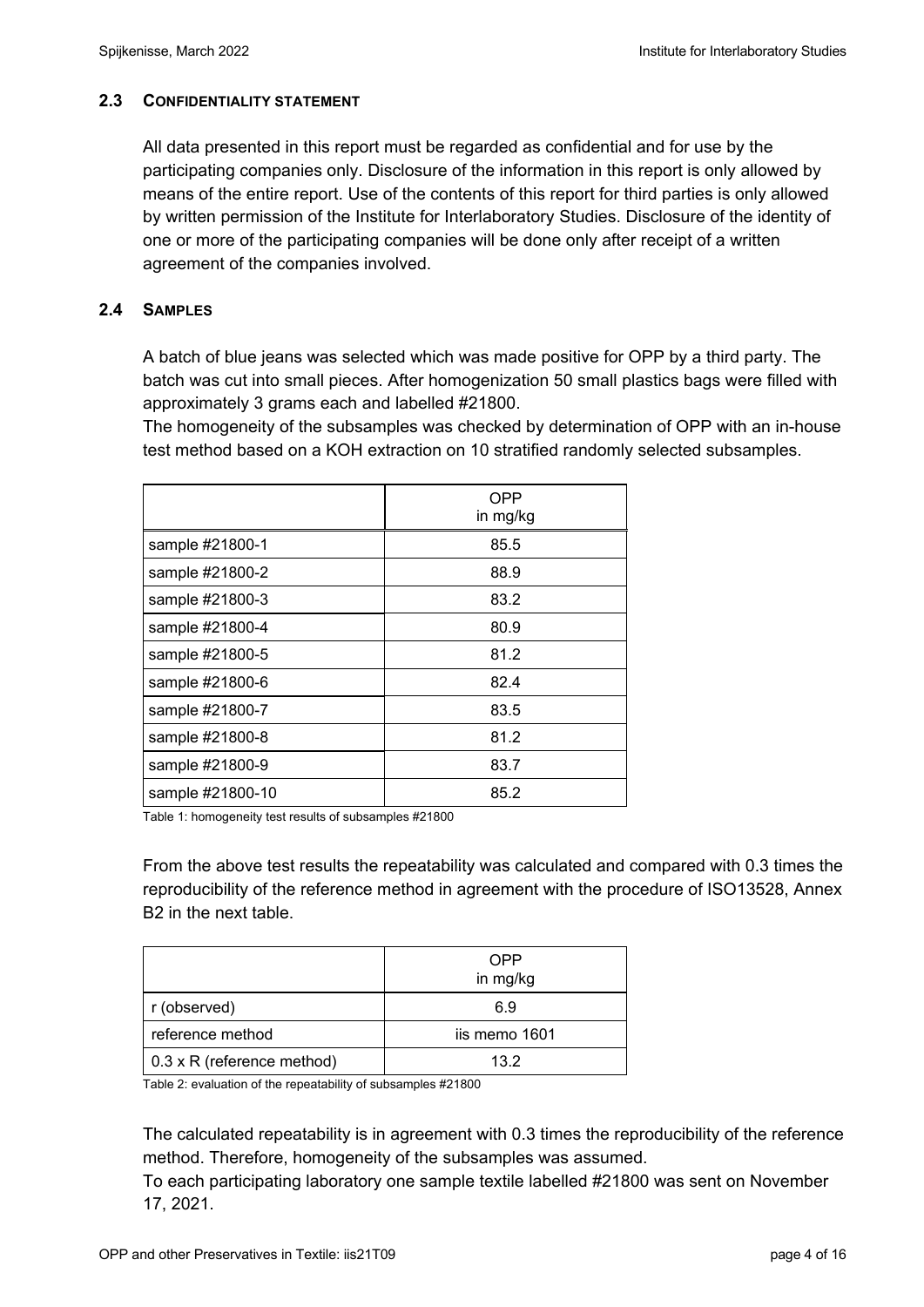## **2.3 CONFIDENTIALITY STATEMENT**

All data presented in this report must be regarded as confidential and for use by the participating companies only. Disclosure of the information in this report is only allowed by means of the entire report. Use of the contents of this report for third parties is only allowed by written permission of the Institute for Interlaboratory Studies. Disclosure of the identity of one or more of the participating companies will be done only after receipt of a written agreement of the companies involved.

## **2.4 SAMPLES**

A batch of blue jeans was selected which was made positive for OPP by a third party. The batch was cut into small pieces. After homogenization 50 small plastics bags were filled with approximately 3 grams each and labelled #21800.

The homogeneity of the subsamples was checked by determination of OPP with an in-house test method based on a KOH extraction on 10 stratified randomly selected subsamples.

|                  | <b>OPP</b><br>in mg/kg |
|------------------|------------------------|
| sample #21800-1  | 85.5                   |
| sample #21800-2  | 88.9                   |
| sample #21800-3  | 83.2                   |
| sample #21800-4  | 80.9                   |
| sample #21800-5  | 81.2                   |
| sample #21800-6  | 82.4                   |
| sample #21800-7  | 83.5                   |
| sample #21800-8  | 81.2                   |
| sample #21800-9  | 83.7                   |
| sample #21800-10 | 85.2                   |

Table 1: homogeneity test results of subsamples #21800

From the above test results the repeatability was calculated and compared with 0.3 times the reproducibility of the reference method in agreement with the procedure of ISO13528, Annex B2 in the next table.

|                                    | OPP<br>in mg/kg |
|------------------------------------|-----------------|
| r (observed)                       | 6.9             |
| reference method                   | iis memo 1601   |
| $\vert$ 0.3 x R (reference method) | 132             |

Table 2: evaluation of the repeatability of subsamples #21800

The calculated repeatability is in agreement with 0.3 times the reproducibility of the reference method. Therefore, homogeneity of the subsamples was assumed.

To each participating laboratory one sample textile labelled #21800 was sent on November 17, 2021.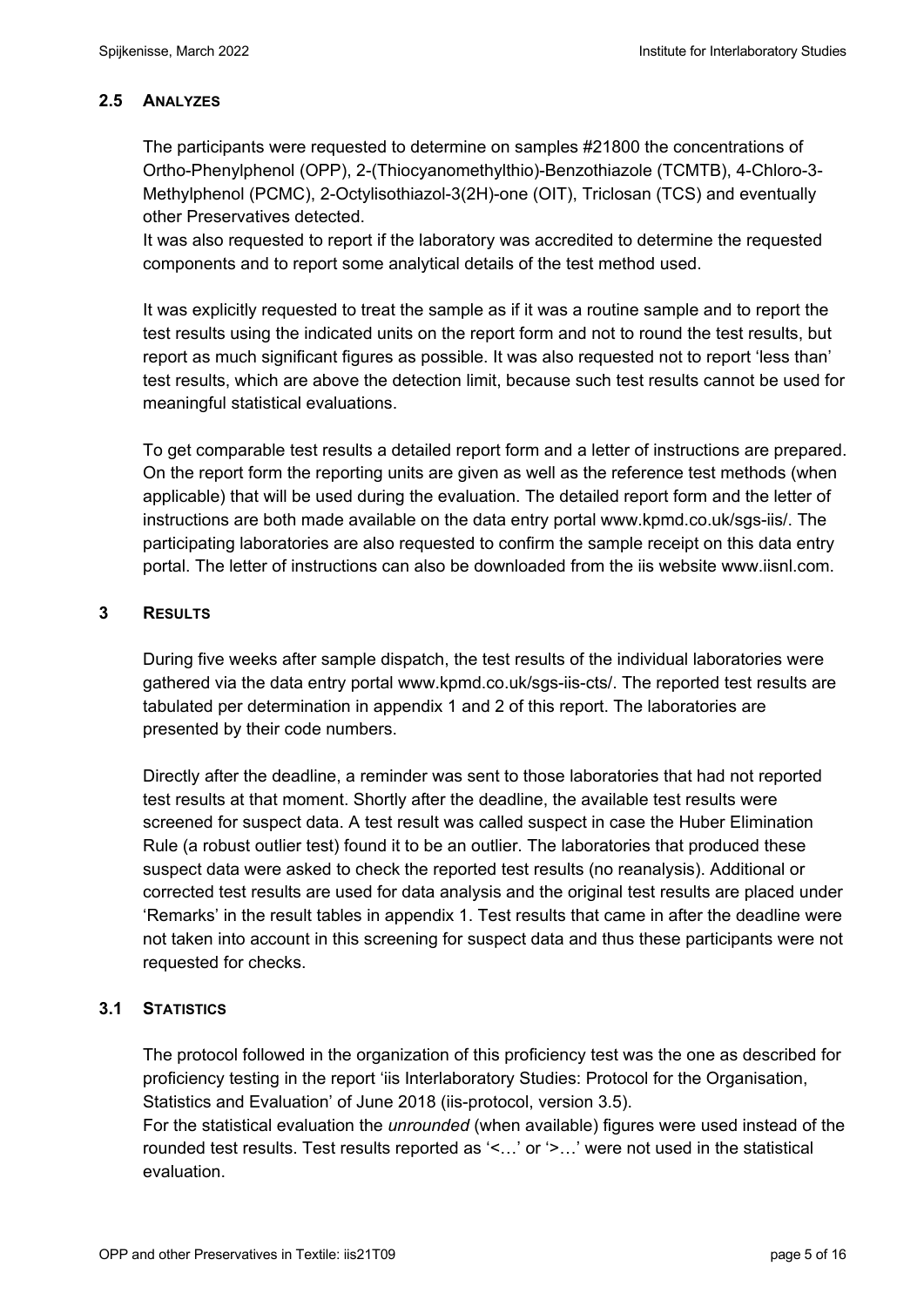# **2.5 ANALYZES**

The participants were requested to determine on samples #21800 the concentrations of Ortho-Phenylphenol (OPP), 2-(Thiocyanomethylthio)-Benzothiazole (TCMTB), 4-Chloro-3- Methylphenol (PCMC), 2-Octylisothiazol-3(2H)-one (OIT), Triclosan (TCS) and eventually other Preservatives detected.

It was also requested to report if the laboratory was accredited to determine the requested components and to report some analytical details of the test method used.

It was explicitly requested to treat the sample as if it was a routine sample and to report the test results using the indicated units on the report form and not to round the test results, but report as much significant figures as possible. It was also requested not to report 'less than' test results, which are above the detection limit, because such test results cannot be used for meaningful statistical evaluations.

To get comparable test results a detailed report form and a letter of instructions are prepared. On the report form the reporting units are given as well as the reference test methods (when applicable) that will be used during the evaluation. The detailed report form and the letter of instructions are both made available on the data entry portal www.kpmd.co.uk/sgs-iis/. The participating laboratories are also requested to confirm the sample receipt on this data entry portal. The letter of instructions can also be downloaded from the iis website www.iisnl.com.

# **3 RESULTS**

During five weeks after sample dispatch, the test results of the individual laboratories were gathered via the data entry portal www.kpmd.co.uk/sgs-iis-cts/. The reported test results are tabulated per determination in appendix 1 and 2 of this report. The laboratories are presented by their code numbers.

Directly after the deadline, a reminder was sent to those laboratories that had not reported test results at that moment. Shortly after the deadline, the available test results were screened for suspect data. A test result was called suspect in case the Huber Elimination Rule (a robust outlier test) found it to be an outlier. The laboratories that produced these suspect data were asked to check the reported test results (no reanalysis). Additional or corrected test results are used for data analysis and the original test results are placed under 'Remarks' in the result tables in appendix 1. Test results that came in after the deadline were not taken into account in this screening for suspect data and thus these participants were not requested for checks.

# **3.1 STATISTICS**

The protocol followed in the organization of this proficiency test was the one as described for proficiency testing in the report 'iis Interlaboratory Studies: Protocol for the Organisation, Statistics and Evaluation' of June 2018 (iis-protocol, version 3.5).

For the statistical evaluation the *unrounded* (when available) figures were used instead of the rounded test results. Test results reported as '<…' or '>…' were not used in the statistical evaluation.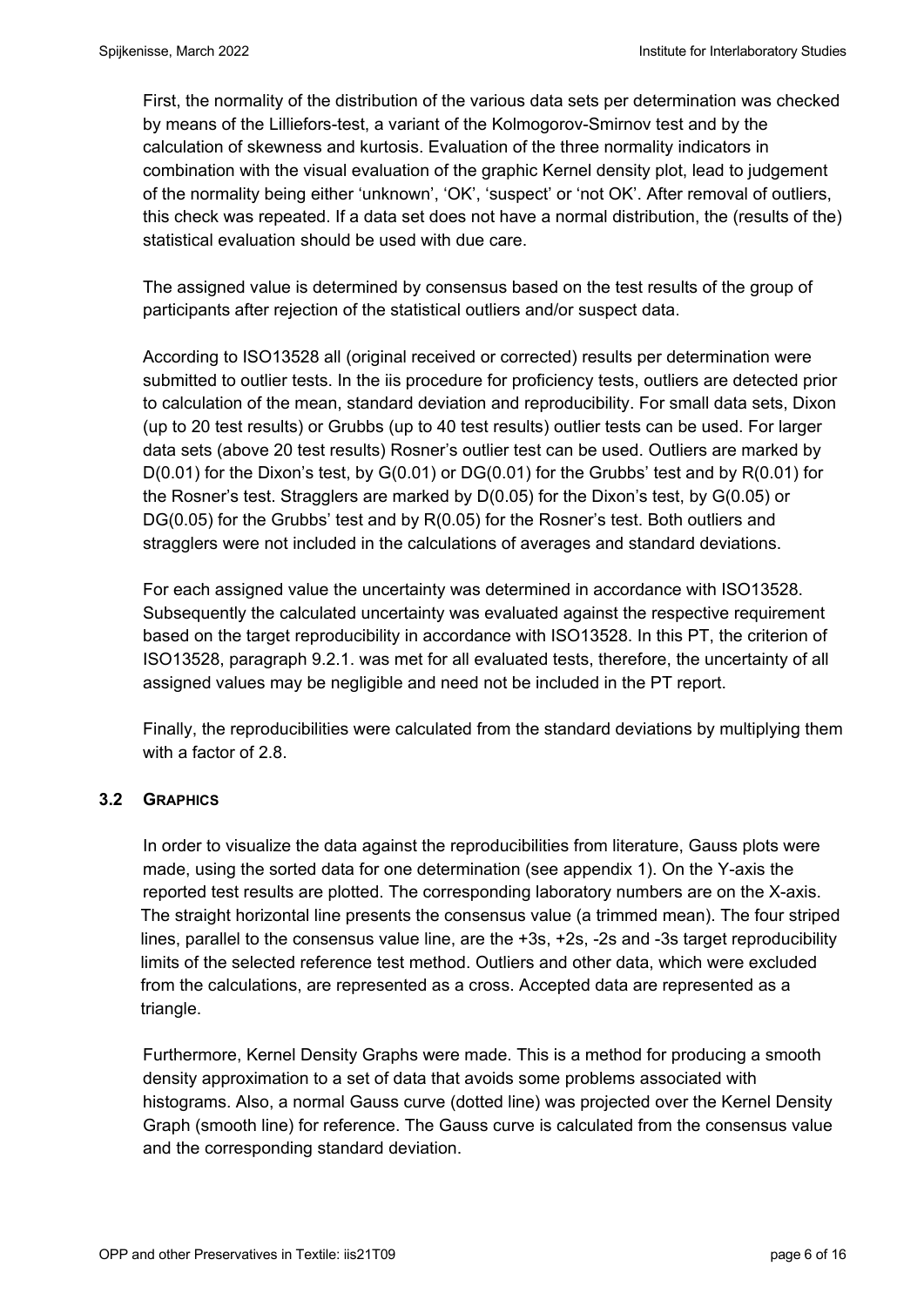First, the normality of the distribution of the various data sets per determination was checked by means of the Lilliefors-test, a variant of the Kolmogorov-Smirnov test and by the calculation of skewness and kurtosis. Evaluation of the three normality indicators in combination with the visual evaluation of the graphic Kernel density plot, lead to judgement of the normality being either 'unknown', 'OK', 'suspect' or 'not OK'. After removal of outliers, this check was repeated. If a data set does not have a normal distribution, the (results of the) statistical evaluation should be used with due care.

The assigned value is determined by consensus based on the test results of the group of participants after rejection of the statistical outliers and/or suspect data.

According to ISO13528 all (original received or corrected) results per determination were submitted to outlier tests. In the iis procedure for proficiency tests, outliers are detected prior to calculation of the mean, standard deviation and reproducibility. For small data sets, Dixon (up to 20 test results) or Grubbs (up to 40 test results) outlier tests can be used. For larger data sets (above 20 test results) Rosner's outlier test can be used. Outliers are marked by D(0.01) for the Dixon's test, by G(0.01) or DG(0.01) for the Grubbs' test and by R(0.01) for the Rosner's test. Stragglers are marked by D(0.05) for the Dixon's test, by G(0.05) or DG(0.05) for the Grubbs' test and by R(0.05) for the Rosner's test. Both outliers and stragglers were not included in the calculations of averages and standard deviations.

For each assigned value the uncertainty was determined in accordance with ISO13528. Subsequently the calculated uncertainty was evaluated against the respective requirement based on the target reproducibility in accordance with ISO13528. In this PT, the criterion of ISO13528, paragraph 9.2.1. was met for all evaluated tests, therefore, the uncertainty of all assigned values may be negligible and need not be included in the PT report.

Finally, the reproducibilities were calculated from the standard deviations by multiplying them with a factor of 2.8.

#### **3.2 GRAPHICS**

In order to visualize the data against the reproducibilities from literature, Gauss plots were made, using the sorted data for one determination (see appendix 1). On the Y-axis the reported test results are plotted. The corresponding laboratory numbers are on the X-axis. The straight horizontal line presents the consensus value (a trimmed mean). The four striped lines, parallel to the consensus value line, are the +3s, +2s, -2s and -3s target reproducibility limits of the selected reference test method. Outliers and other data, which were excluded from the calculations, are represented as a cross. Accepted data are represented as a triangle.

Furthermore, Kernel Density Graphs were made. This is a method for producing a smooth density approximation to a set of data that avoids some problems associated with histograms. Also, a normal Gauss curve (dotted line) was projected over the Kernel Density Graph (smooth line) for reference. The Gauss curve is calculated from the consensus value and the corresponding standard deviation.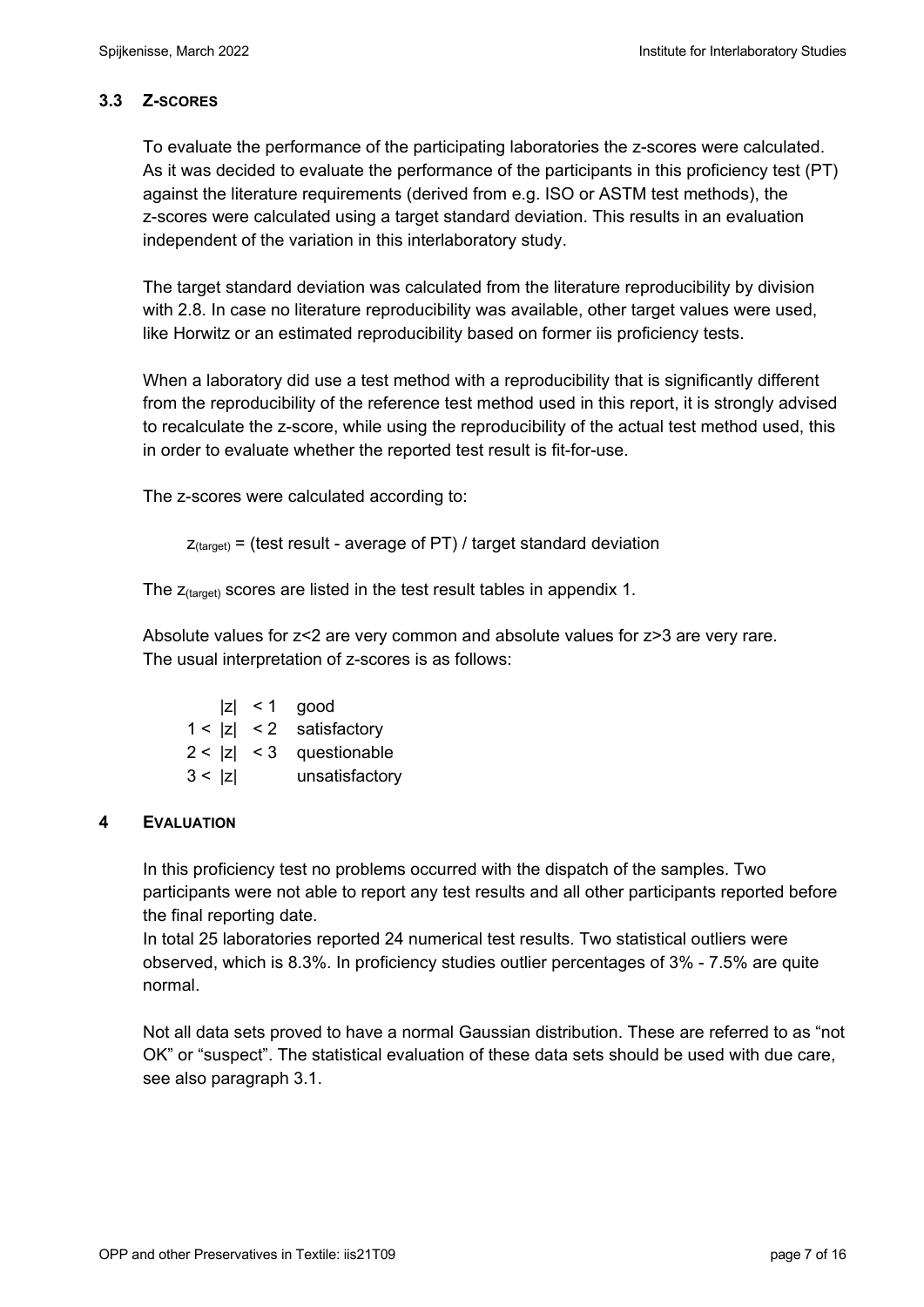# **3.3 Z-SCORES**

To evaluate the performance of the participating laboratories the z-scores were calculated. As it was decided to evaluate the performance of the participants in this proficiency test (PT) against the literature requirements (derived from e.g. ISO or ASTM test methods), the z-scores were calculated using a target standard deviation. This results in an evaluation independent of the variation in this interlaboratory study.

The target standard deviation was calculated from the literature reproducibility by division with 2.8. In case no literature reproducibility was available, other target values were used, like Horwitz or an estimated reproducibility based on former iis proficiency tests.

When a laboratory did use a test method with a reproducibility that is significantly different from the reproducibility of the reference test method used in this report, it is strongly advised to recalculate the z-score, while using the reproducibility of the actual test method used, this in order to evaluate whether the reported test result is fit-for-use.

The z-scores were calculated according to:

```
Z_{\text{target}} = (test result - average of PT) / target standard deviation
```
The  $z_{\text{(target)}}$  scores are listed in the test result tables in appendix 1.

Absolute values for z<2 are very common and absolute values for z>3 are very rare. The usual interpretation of z-scores is as follows:

|        | $ z  < 1$ good             |
|--------|----------------------------|
|        | $1 <  z  < 2$ satisfactory |
|        | $2 <  z  < 3$ questionable |
| 3 <  z | unsatisfactory             |

# **4 EVALUATION**

In this proficiency test no problems occurred with the dispatch of the samples. Two participants were not able to report any test results and all other participants reported before the final reporting date.

In total 25 laboratories reported 24 numerical test results. Two statistical outliers were observed, which is 8.3%. In proficiency studies outlier percentages of 3% - 7.5% are quite normal.

Not all data sets proved to have a normal Gaussian distribution. These are referred to as "not OK" or "suspect". The statistical evaluation of these data sets should be used with due care, see also paragraph 3.1.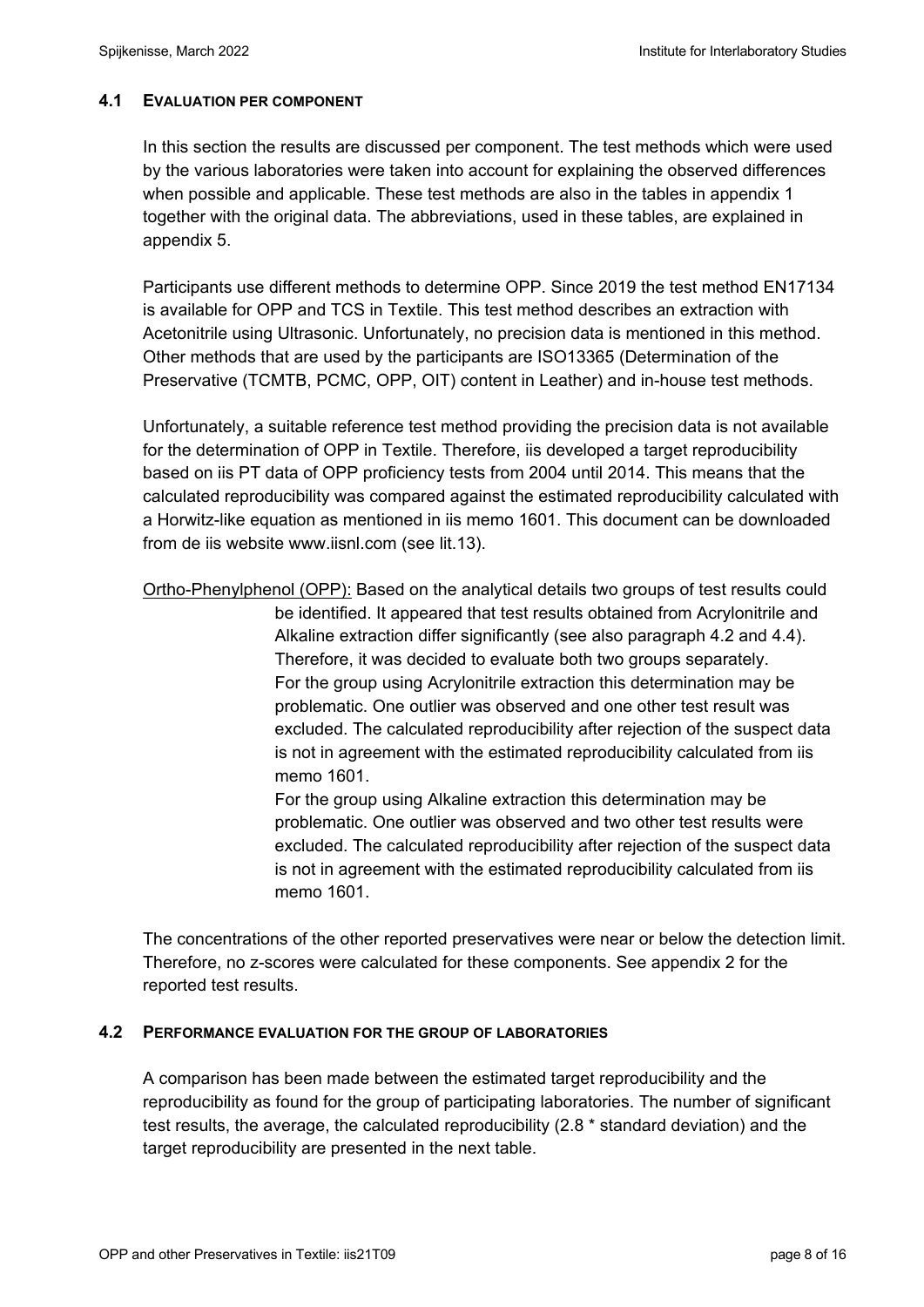### **4.1 EVALUATION PER COMPONENT**

In this section the results are discussed per component. The test methods which were used by the various laboratories were taken into account for explaining the observed differences when possible and applicable. These test methods are also in the tables in appendix 1 together with the original data. The abbreviations, used in these tables, are explained in appendix 5.

Participants use different methods to determine OPP. Since 2019 the test method EN17134 is available for OPP and TCS in Textile. This test method describes an extraction with Acetonitrile using Ultrasonic. Unfortunately, no precision data is mentioned in this method. Other methods that are used by the participants are ISO13365 (Determination of the Preservative (TCMTB, PCMC, OPP, OIT) content in Leather) and in-house test methods.

Unfortunately, a suitable reference test method providing the precision data is not available for the determination of OPP in Textile. Therefore, iis developed a target reproducibility based on iis PT data of OPP proficiency tests from 2004 until 2014. This means that the calculated reproducibility was compared against the estimated reproducibility calculated with a Horwitz-like equation as mentioned in iis memo 1601. This document can be downloaded from de iis website www.iisnl.com (see lit.13).

Ortho-Phenylphenol (OPP): Based on the analytical details two groups of test results could be identified. It appeared that test results obtained from Acrylonitrile and Alkaline extraction differ significantly (see also paragraph 4.2 and 4.4). Therefore, it was decided to evaluate both two groups separately. For the group using Acrylonitrile extraction this determination may be problematic. One outlier was observed and one other test result was excluded. The calculated reproducibility after rejection of the suspect data is not in agreement with the estimated reproducibility calculated from iis memo 1601.

> For the group using Alkaline extraction this determination may be problematic. One outlier was observed and two other test results were excluded. The calculated reproducibility after rejection of the suspect data is not in agreement with the estimated reproducibility calculated from iis memo 1601.

The concentrations of the other reported preservatives were near or below the detection limit. Therefore, no z-scores were calculated for these components. See appendix 2 for the reported test results.

#### **4.2 PERFORMANCE EVALUATION FOR THE GROUP OF LABORATORIES**

A comparison has been made between the estimated target reproducibility and the reproducibility as found for the group of participating laboratories. The number of significant test results, the average, the calculated reproducibility (2.8 \* standard deviation) and the target reproducibility are presented in the next table.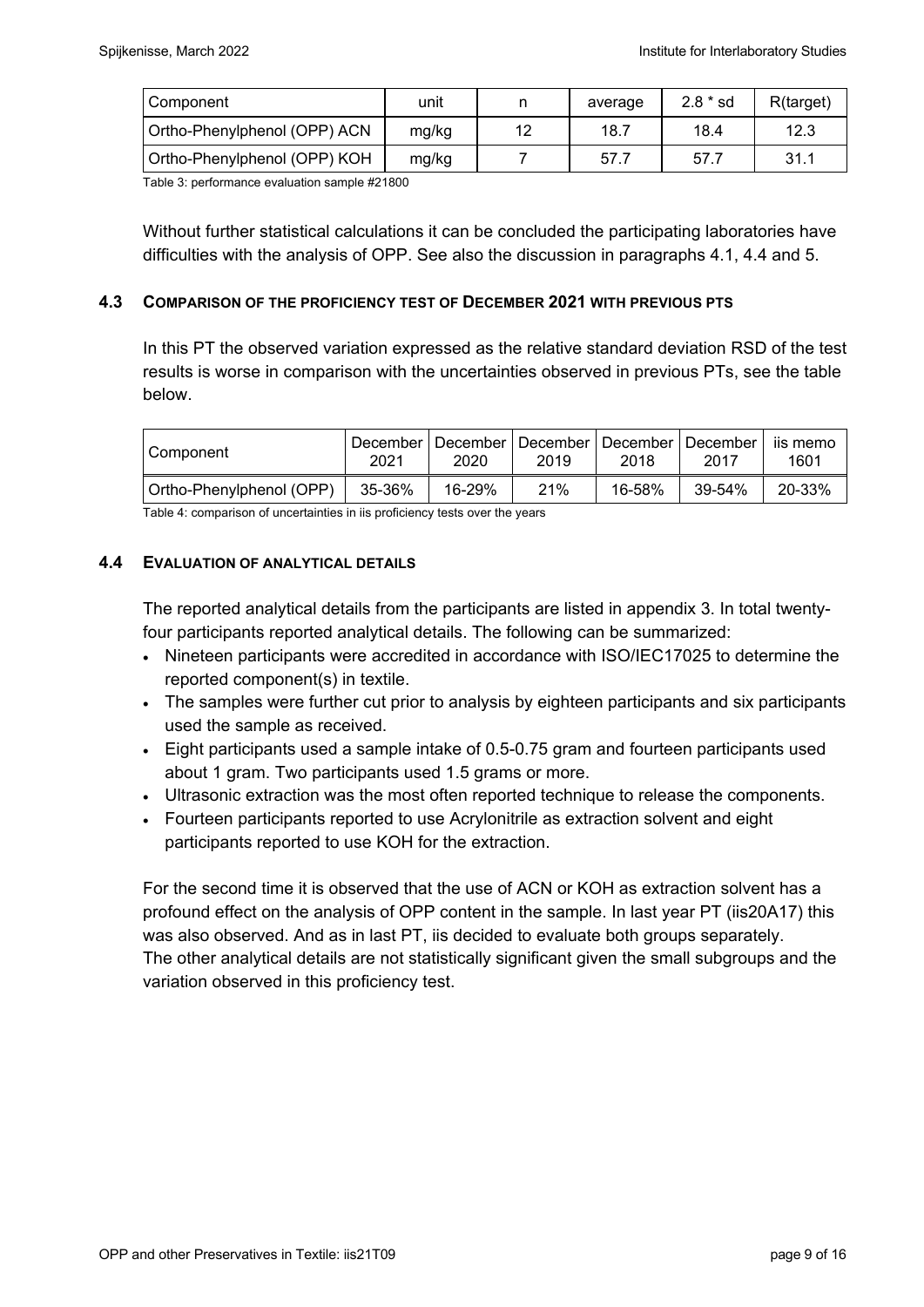| Component                    | unit  |    | average | $2.8 * sd$ | R(target) |
|------------------------------|-------|----|---------|------------|-----------|
| Ortho-Phenylphenol (OPP) ACN | mg/kg | 12 | 18.7    | 18.4       | 12.3      |
| Ortho-Phenylphenol (OPP) KOH | mg/kg |    | 57.7    | 57.        | 31.1      |

Table 3: performance evaluation sample #21800

Without further statistical calculations it can be concluded the participating laboratories have difficulties with the analysis of OPP. See also the discussion in paragraphs 4.1, 4.4 and 5.

### **4.3 COMPARISON OF THE PROFICIENCY TEST OF DECEMBER 2021 WITH PREVIOUS PTS**

In this PT the observed variation expressed as the relative standard deviation RSD of the test results is worse in comparison with the uncertainties observed in previous PTs, see the table below.

| Component                | 2021   | December   December   December   December   December<br>2020 | 2019 | 2018   | 2017   | iis memo<br>1601 |
|--------------------------|--------|--------------------------------------------------------------|------|--------|--------|------------------|
| Ortho-Phenylphenol (OPP) | 35-36% | 16-29%                                                       | 21%  | 16-58% | 39-54% | 20-33%           |

Table 4: comparison of uncertainties in iis proficiency tests over the years

#### **4.4 EVALUATION OF ANALYTICAL DETAILS**

The reported analytical details from the participants are listed in appendix 3. In total twentyfour participants reported analytical details. The following can be summarized:

- Nineteen participants were accredited in accordance with ISO/IEC17025 to determine the reported component(s) in textile.
- The samples were further cut prior to analysis by eighteen participants and six participants used the sample as received.
- Eight participants used a sample intake of 0.5-0.75 gram and fourteen participants used about 1 gram. Two participants used 1.5 grams or more.
- Ultrasonic extraction was the most often reported technique to release the components.
- Fourteen participants reported to use Acrylonitrile as extraction solvent and eight participants reported to use KOH for the extraction.

For the second time it is observed that the use of ACN or KOH as extraction solvent has a profound effect on the analysis of OPP content in the sample. In last year PT (iis20A17) this was also observed. And as in last PT, iis decided to evaluate both groups separately. The other analytical details are not statistically significant given the small subgroups and the variation observed in this proficiency test.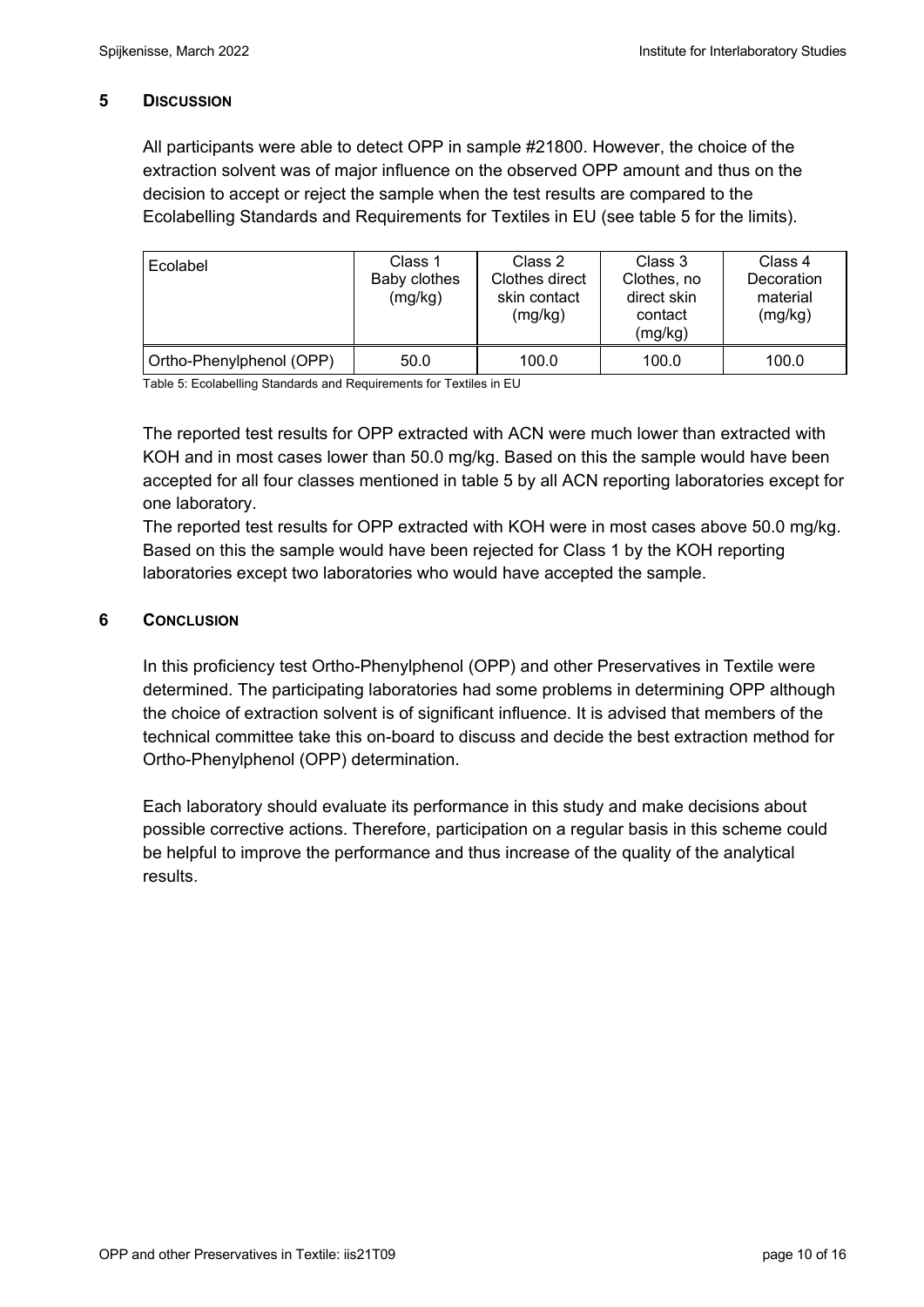## **5 DISCUSSION**

All participants were able to detect OPP in sample #21800. However, the choice of the extraction solvent was of major influence on the observed OPP amount and thus on the decision to accept or reject the sample when the test results are compared to the Ecolabelling Standards and Requirements for Textiles in EU (see table 5 for the limits).

| Ecolabel                 | Class 1<br>Baby clothes<br>(mg/kg) | Class 2<br>Clothes direct<br>skin contact<br>(mg/kg) | Class 3<br>Clothes, no<br>direct skin<br>contact<br>(mg/kg) | Class 4<br>Decoration<br>material<br>(mg/kg) |
|--------------------------|------------------------------------|------------------------------------------------------|-------------------------------------------------------------|----------------------------------------------|
| Ortho-Phenylphenol (OPP) | 50.0                               | 100.0                                                | 100.0                                                       | 100.0                                        |

Table 5: Ecolabelling Standards and Requirements for Textiles in EU

The reported test results for OPP extracted with ACN were much lower than extracted with KOH and in most cases lower than 50.0 mg/kg. Based on this the sample would have been accepted for all four classes mentioned in table 5 by all ACN reporting laboratories except for one laboratory.

The reported test results for OPP extracted with KOH were in most cases above 50.0 mg/kg. Based on this the sample would have been rejected for Class 1 by the KOH reporting laboratories except two laboratories who would have accepted the sample.

## **6 CONCLUSION**

In this proficiency test Ortho-Phenylphenol (OPP) and other Preservatives in Textile were determined. The participating laboratories had some problems in determining OPP although the choice of extraction solvent is of significant influence. It is advised that members of the technical committee take this on-board to discuss and decide the best extraction method for Ortho-Phenylphenol (OPP) determination.

Each laboratory should evaluate its performance in this study and make decisions about possible corrective actions. Therefore, participation on a regular basis in this scheme could be helpful to improve the performance and thus increase of the quality of the analytical results.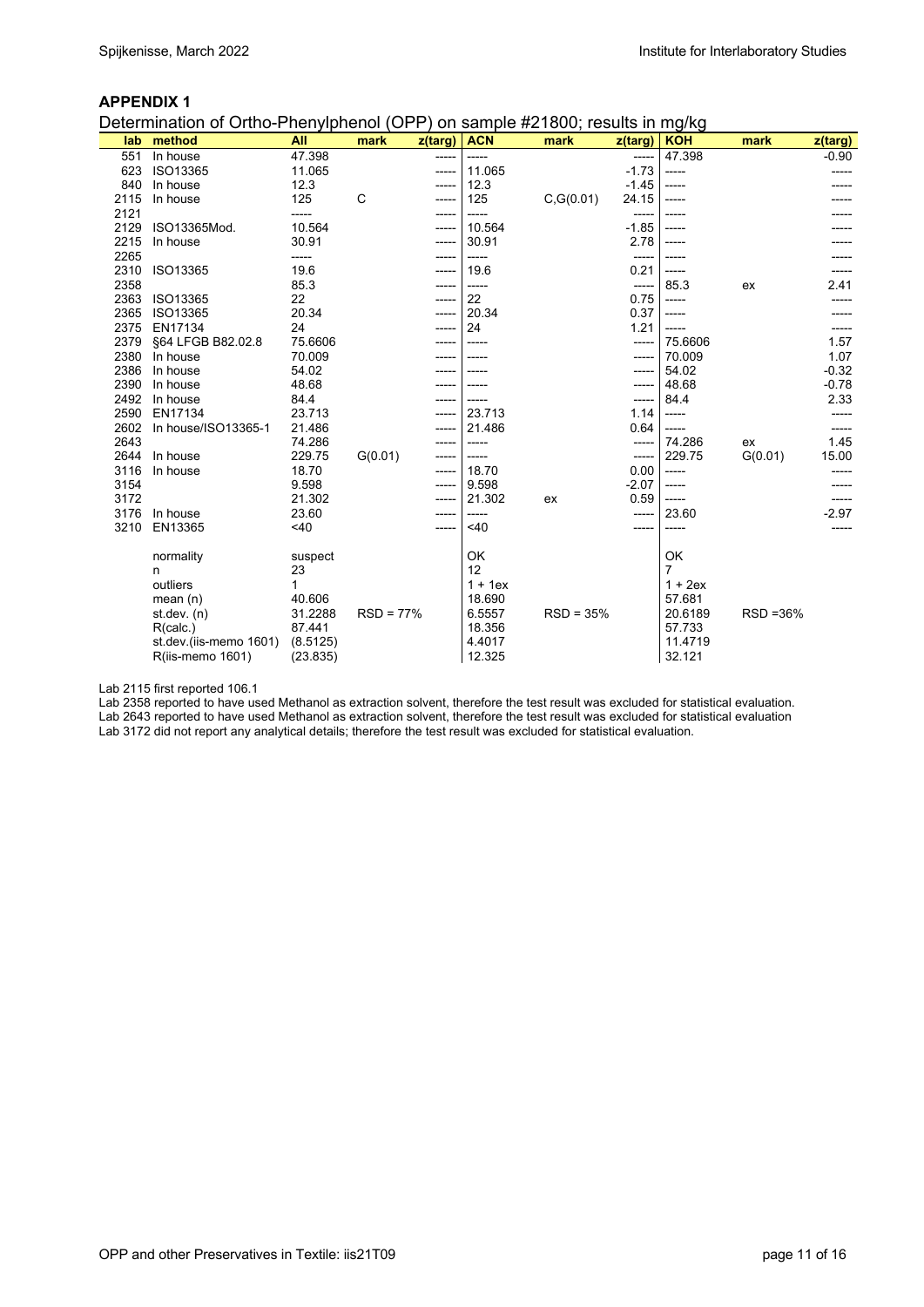#### **APPENDIX 1**

Determination of Ortho-Phenylphenol (OPP) on sample #21800; results in mg/kg

| z(targ)<br>47.398<br>47.398<br>In house<br>551<br>-----<br>ISO13365<br>11.065<br>$-1.73$<br>623<br>11.065<br>-----<br>-----<br>840<br>12.3<br>12.3<br>$-1.45$<br>In house<br>-----<br>125<br>C<br>125<br>2115<br>C, G(0.01)<br>24.15<br>In house<br>-----<br>----- | z(targ)<br>$-0.90$ |
|--------------------------------------------------------------------------------------------------------------------------------------------------------------------------------------------------------------------------------------------------------------------|--------------------|
|                                                                                                                                                                                                                                                                    |                    |
|                                                                                                                                                                                                                                                                    |                    |
|                                                                                                                                                                                                                                                                    |                    |
|                                                                                                                                                                                                                                                                    |                    |
| 2121<br>-----<br>-----<br>-----                                                                                                                                                                                                                                    |                    |
| 2129<br>ISO13365Mod.<br>10.564<br>10.564<br>$-1.85$<br>-----<br>-----                                                                                                                                                                                              |                    |
| 2215<br>30.91<br>2.78<br>30.91<br>In house<br>------<br>-----                                                                                                                                                                                                      |                    |
| 2265<br>-----<br>-----<br>-----<br>------                                                                                                                                                                                                                          |                    |
| 2310<br>19.6<br>0.21<br>ISO13365<br>19.6<br>-----<br>-----                                                                                                                                                                                                         |                    |
| 2358<br>85.3<br>85.3<br>$-----$<br>ex<br>-----                                                                                                                                                                                                                     | 2.41               |
| 2363<br>22<br>22<br>0.75<br>ISO13365<br>-----<br>-----                                                                                                                                                                                                             |                    |
| 2365<br>20.34<br>20.34<br>0.37<br>ISO13365<br>-----<br>-----                                                                                                                                                                                                       |                    |
| 2375<br>EN17134<br>24<br>24<br>1.21<br>-----                                                                                                                                                                                                                       |                    |
| 2379<br>§64 LFGB B82.02.8<br>75.6606<br>75.6606<br>-----                                                                                                                                                                                                           | 1.57               |
| 2380<br>70.009<br>70.009<br>In house<br>-----<br>-----                                                                                                                                                                                                             | 1.07               |
| 2386<br>54.02<br>In house<br>54.02<br>-----                                                                                                                                                                                                                        | $-0.32$            |
| 2390<br>48.68<br>48.68<br>In house<br>-----<br>-----                                                                                                                                                                                                               | $-0.78$            |
| 2492<br>84.4<br>In house<br>84.4<br>-----<br>-----                                                                                                                                                                                                                 | 2.33               |
| 2590<br>EN17134<br>23.713<br>23.713<br>1.14<br>-----<br>-----                                                                                                                                                                                                      | -----              |
| 2602<br>In house/ISO13365-1<br>21.486<br>21.486<br>0.64<br>-----<br>-----                                                                                                                                                                                          |                    |
| 2643<br>74.286<br>74.286<br>ex<br>-----<br>-----<br>-----                                                                                                                                                                                                          | 1.45               |
| G(0.01)<br>2644<br>In house<br>229.75<br>229.75<br>G(0.01)<br>-----<br>-----<br>-----                                                                                                                                                                              | 15.00              |
| 3116<br>18.70<br>18.70<br>0.00<br>In house<br>-----<br>-----                                                                                                                                                                                                       |                    |
| 3154<br>9.598<br>9.598<br>$-2.07$<br>-----<br>-----                                                                                                                                                                                                                |                    |
| 3172<br>21.302<br>21.302<br>0.59<br>ex<br>-----<br>-----                                                                                                                                                                                                           |                    |
| 3176<br>In house<br>23.60<br>23.60<br>-----                                                                                                                                                                                                                        | $-2.97$            |
| EN13365<br>< 40<br><40<br>3210                                                                                                                                                                                                                                     |                    |
| OK<br>OK<br>normality<br>suspect                                                                                                                                                                                                                                   |                    |
| 12<br>$\overline{7}$<br>23<br>n                                                                                                                                                                                                                                    |                    |
| outliers<br>$1 + 1ex$<br>$1 + 2ex$<br>1                                                                                                                                                                                                                            |                    |
| 40.606<br>18.690<br>57.681<br>mean $(n)$                                                                                                                                                                                                                           |                    |
| 31.2288<br>$RSD = 77%$<br>6.5557<br>$RSD = 35%$<br>RSD = 36%<br>20.6189<br>st. dev. (n)                                                                                                                                                                            |                    |
| 18.356<br>87.441<br>57.733<br>R(calc.)                                                                                                                                                                                                                             |                    |
| 4.4017<br>11.4719<br>(8.5125)<br>st.dev.(iis-memo 1601)                                                                                                                                                                                                            |                    |
| 12.325<br>32.121<br>R(iis-memo 1601)<br>(23.835)                                                                                                                                                                                                                   |                    |

Lab 2115 first reported 106.1

Lab 2358 reported to have used Methanol as extraction solvent, therefore the test result was excluded for statistical evaluation. Lab 2643 reported to have used Methanol as extraction solvent, therefore the test result was excluded for statistical evaluation

Lab 3172 did not report any analytical details; therefore the test result was excluded for statistical evaluation.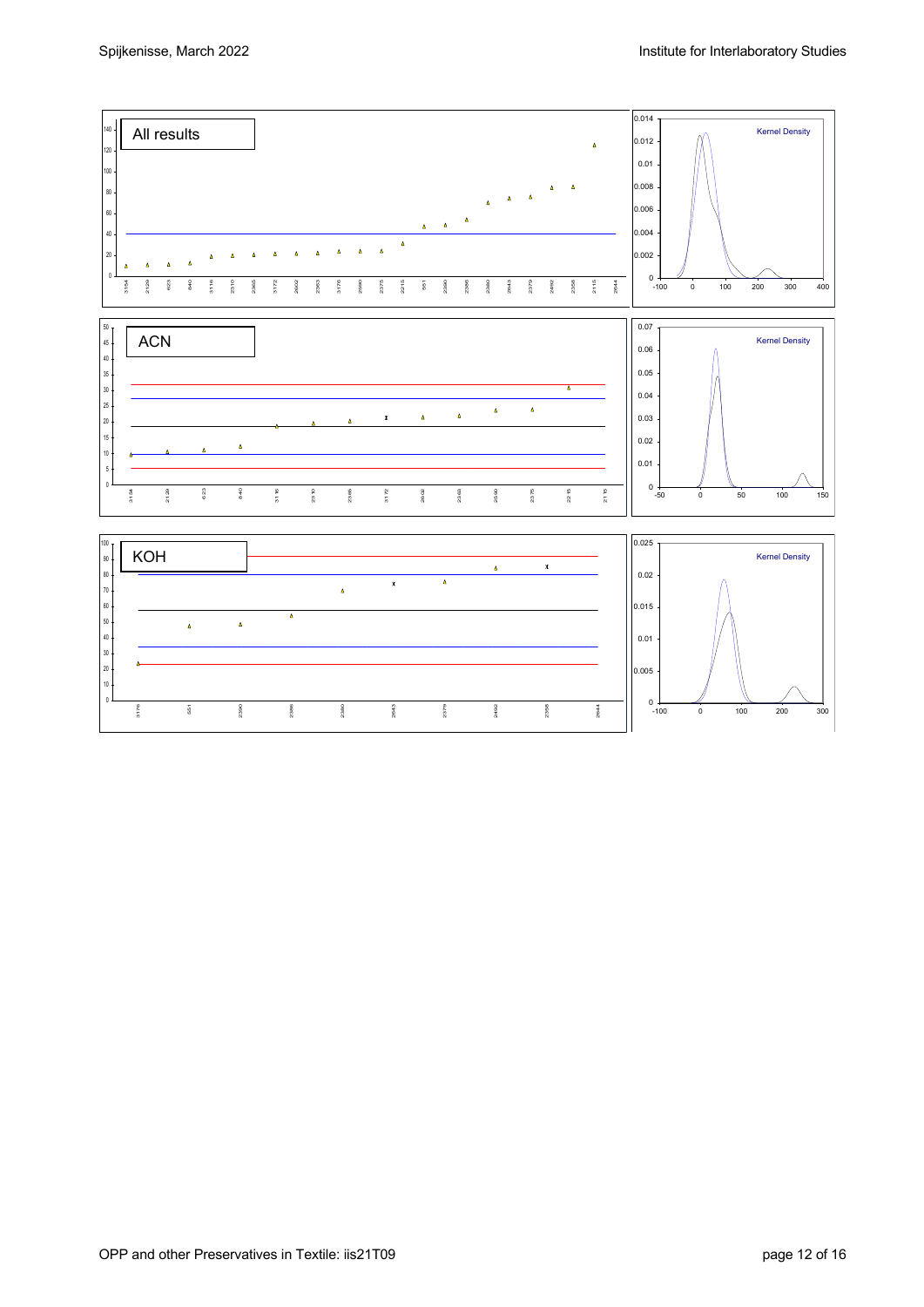OPP and other Preservatives in Textile: iis21T09 page 12 of 16

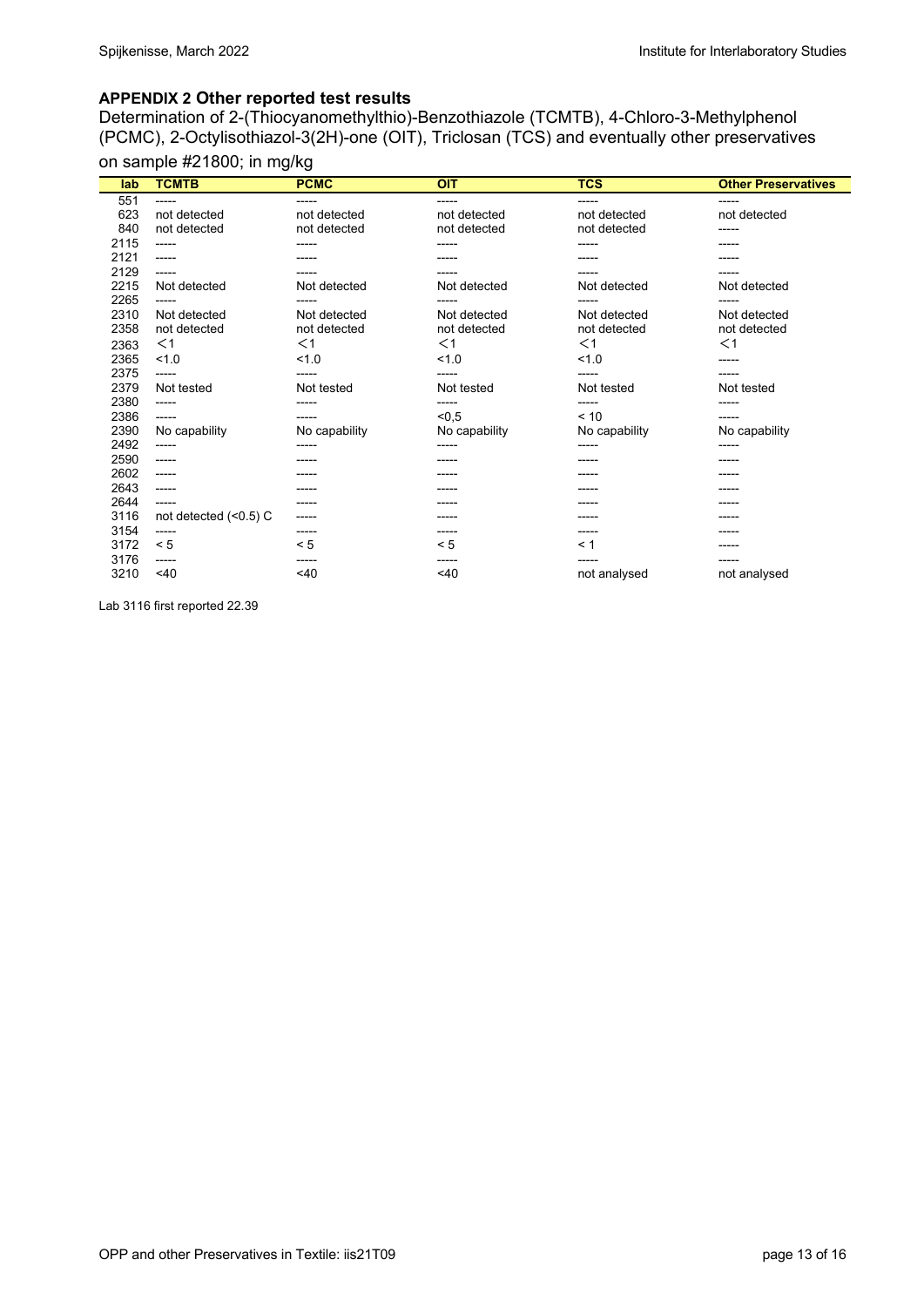#### **APPENDIX 2 Other reported test results**

Determination of 2-(Thiocyanomethylthio)-Benzothiazole (TCMTB), 4-Chloro-3-Methylphenol (PCMC), 2-Octylisothiazol-3(2H)-one (OIT), Triclosan (TCS) and eventually other preservatives

# on sample #21800; in mg/kg

| lab  | <b>TCMTB</b>            | <b>PCMC</b>   | <b>OIT</b>    | <b>TCS</b>    | <b>Other Preservatives</b> |
|------|-------------------------|---------------|---------------|---------------|----------------------------|
| 551  | -----                   | -----         | ------        | -----         | ------                     |
| 623  | not detected            | not detected  | not detected  | not detected  | not detected               |
| 840  | not detected            | not detected  | not detected  | not detected  | -----                      |
| 2115 | -----                   | -----         | -----         | -----         | -----                      |
| 2121 | -----                   |               | -----         | -----         |                            |
| 2129 | -----                   | -----         | -----         | -----         | -----                      |
| 2215 | Not detected            | Not detected  | Not detected  | Not detected  | Not detected               |
| 2265 | -----                   | -----         | -----         | -----         | -----                      |
| 2310 | Not detected            | Not detected  | Not detected  | Not detected  | Not detected               |
| 2358 | not detected            | not detected  | not detected  | not detected  | not detected               |
| 2363 | $<$ 1                   | $<$ 1         | $<$ 1         | $<$ 1         | $<$ 1                      |
| 2365 | 1.0                     | 1.0           | 1.0           | 1.0           | $- - - - -$                |
| 2375 | -----                   | -----         | -----         | -----         | -----                      |
| 2379 | Not tested              | Not tested    | Not tested    | Not tested    | Not tested                 |
| 2380 | -----                   | -----         | -----         | -----         | -----                      |
| 2386 | ------                  | -----         | < 0.5         | < 10          | -----                      |
| 2390 | No capability           | No capability | No capability | No capability | No capability              |
| 2492 | -----                   | -----         | -----         | -----         | -----                      |
| 2590 | $-----1$                | -----         | -----         | -----         | -----                      |
| 2602 | -----                   |               |               | -----         |                            |
| 2643 | -----                   | -----         | -----         | -----         | -----                      |
| 2644 | -----                   | -----         | -----         | -----         | -----                      |
| 3116 | not detected $(<0.5)$ C | -----         |               |               |                            |
| 3154 | -----                   | -----         | -----         | -----         |                            |
| 3172 | < 5                     | < 5           | < 5           | $\leq 1$      | -----                      |
| 3176 | -----                   | -----         | -----         | -----         | -----                      |
| 3210 | 40                      | 40            | ~140          | not analysed  | not analysed               |

Lab 3116 first reported 22.39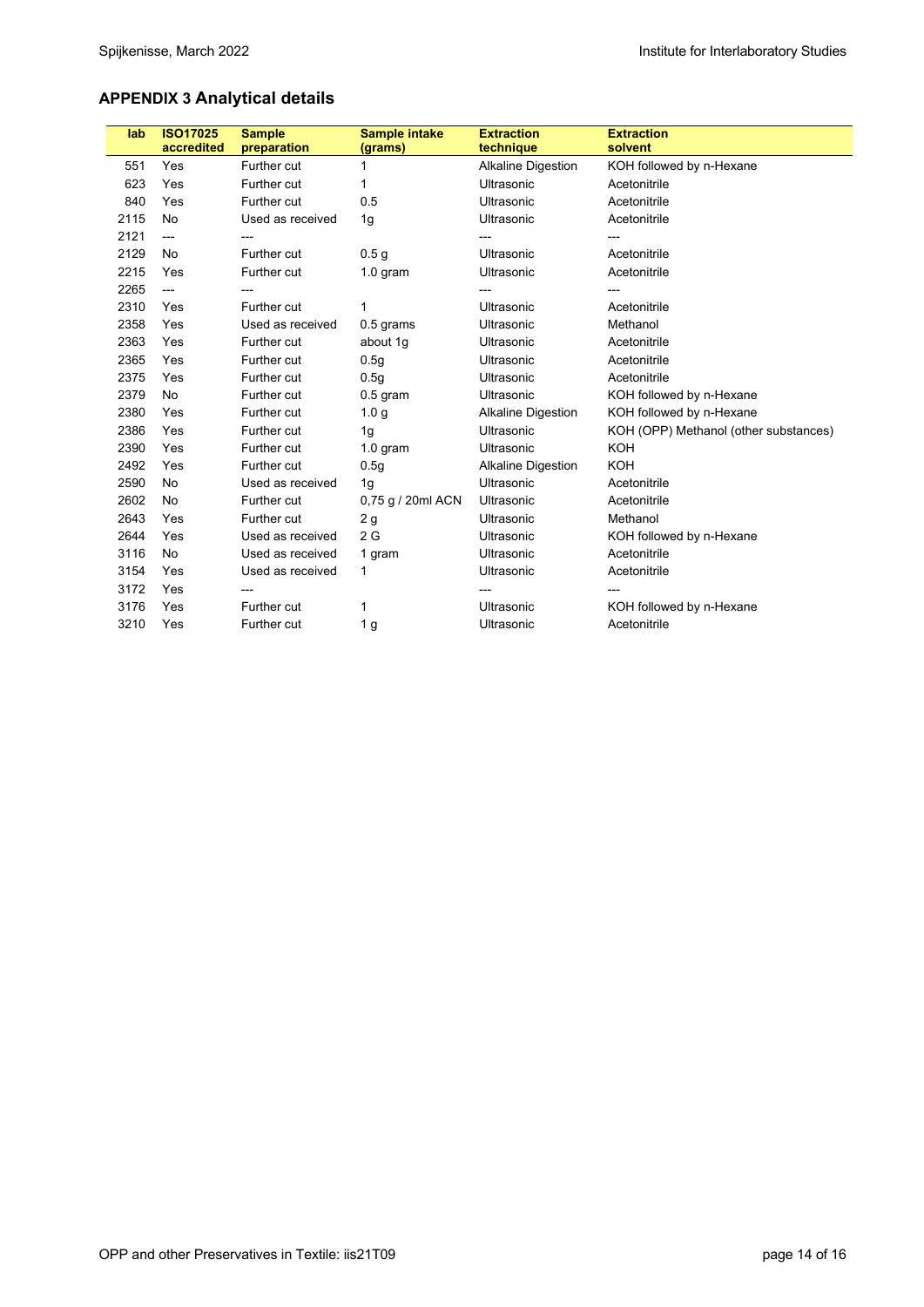# **APPENDIX 3 Analytical details**

| lab  | <b>ISO17025</b> | <b>Sample</b>      | <b>Sample intake</b> | <b>Extraction</b>         | <b>Extraction</b>                     |
|------|-----------------|--------------------|----------------------|---------------------------|---------------------------------------|
|      | accredited      | preparation        | (grams)              | technique                 | solvent                               |
| 551  | Yes             | Further cut        | 1                    | <b>Alkaline Digestion</b> | KOH followed by n-Hexane              |
| 623  | Yes             | <b>Further cut</b> | 1                    | Ultrasonic                | Acetonitrile                          |
| 840  | Yes             | Further cut        | 0.5                  | Ultrasonic                | Acetonitrile                          |
| 2115 | No              | Used as received   | 1g                   | Ultrasonic                | Acetonitrile                          |
| 2121 | ---             | ---                |                      |                           |                                       |
| 2129 | <b>No</b>       | Further cut        | 0.5 <sub>g</sub>     | Ultrasonic                | Acetonitrile                          |
| 2215 | Yes             | Further cut        | $1.0$ gram           | Ultrasonic                | Acetonitrile                          |
| 2265 | $---$           |                    |                      |                           |                                       |
| 2310 | Yes             | Further cut        | 1                    | Ultrasonic                | Acetonitrile                          |
| 2358 | Yes             | Used as received   | 0.5 grams            | Ultrasonic                | Methanol                              |
| 2363 | Yes             | Further cut        | about 1g             | Ultrasonic                | Acetonitrile                          |
| 2365 | Yes             | Further cut        | 0.5 <sub>g</sub>     | Ultrasonic                | Acetonitrile                          |
| 2375 | Yes             | Further cut        | 0.5q                 | Ultrasonic                | Acetonitrile                          |
| 2379 | <b>No</b>       | Further cut        | $0.5$ gram           | Ultrasonic                | KOH followed by n-Hexane              |
| 2380 | Yes             | Further cut        | 1.0 <sub>g</sub>     | <b>Alkaline Digestion</b> | KOH followed by n-Hexane              |
| 2386 | Yes             | Further cut        | 1g                   | Ultrasonic                | KOH (OPP) Methanol (other substances) |
| 2390 | Yes             | Further cut        | $1.0$ gram           | Ultrasonic                | <b>KOH</b>                            |
| 2492 | Yes             | Further cut        | 0.5 <sub>g</sub>     | <b>Alkaline Digestion</b> | KOH                                   |
| 2590 | <b>No</b>       | Used as received   | 1g                   | Ultrasonic                | Acetonitrile                          |
| 2602 | <b>No</b>       | Further cut        | 0,75 g / 20ml ACN    | Ultrasonic                | Acetonitrile                          |
| 2643 | Yes             | Further cut        | 2g                   | Ultrasonic                | Methanol                              |
| 2644 | Yes             | Used as received   | 2G                   | Ultrasonic                | KOH followed by n-Hexane              |
| 3116 | No              | Used as received   | 1 gram               | Ultrasonic                | Acetonitrile                          |
| 3154 | Yes             | Used as received   | $\mathbf{1}$         | Ultrasonic                | Acetonitrile                          |
| 3172 | Yes             | ---                |                      |                           |                                       |
| 3176 | Yes             | Further cut        | 1                    | Ultrasonic                | KOH followed by n-Hexane              |
| 3210 | Yes             | <b>Further cut</b> | 1 g                  | Ultrasonic                | Acetonitrile                          |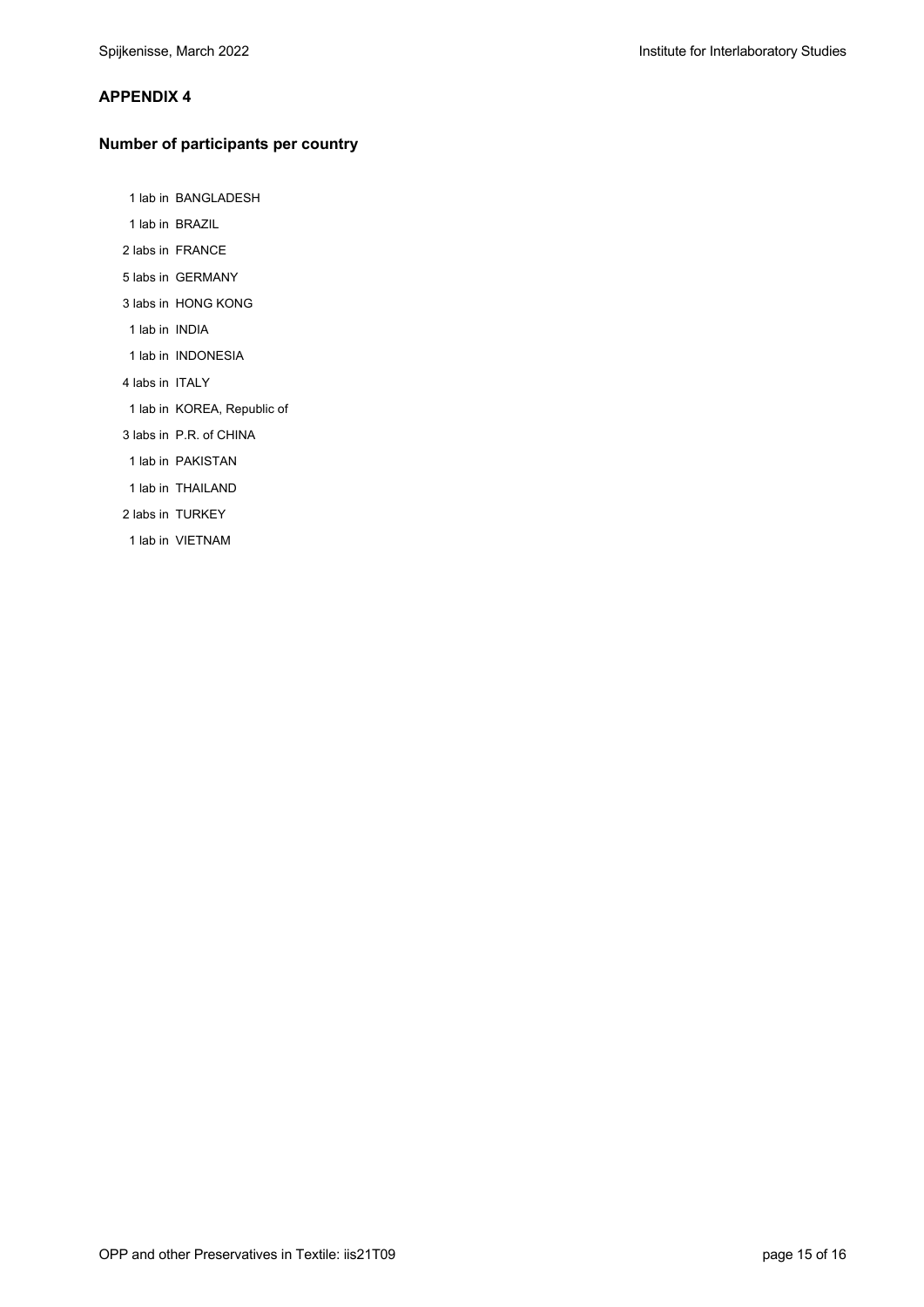#### **APPENDIX 4**

#### **Number of participants per country**

1 lab in BANGLADESH

- 1 lab in BRAZIL
- 2 labs in FRANCE
- 5 labs in GERMANY
- 3 labs in HONG KONG
- 1 lab in INDIA
- 1 lab in INDONESIA
- 4 labs in ITALY
- 1 lab in KOREA, Republic of
- 3 labs in P.R. of CHINA
- 1 lab in PAKISTAN
- 1 lab in THAILAND
- 2 labs in TURKEY
- 1 lab in VIETNAM